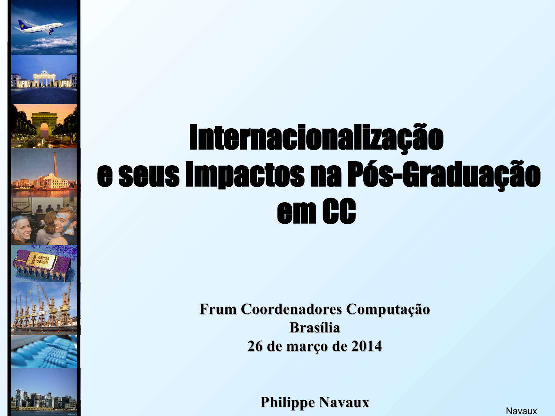## Internacionalização e seus Impactos na Pós-Graduação em CC

**MARTIN DELL'A** 

**Frum Coordenadores Computação Brasília 26 de março de 2014**

**Philippe Navaux**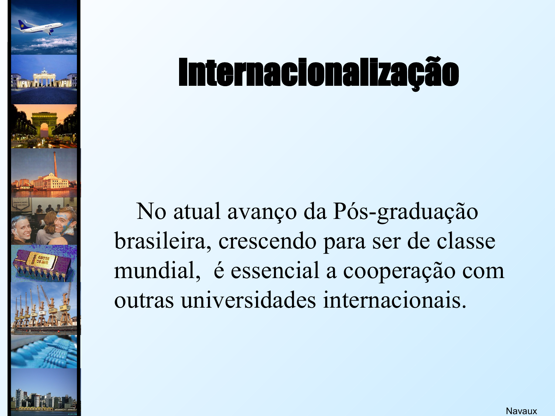

# Internacionalização

 No atual avanço da Pós-graduação brasileira, crescendo para ser de classe mundial, é essencial a cooperação com outras universidades internacionais.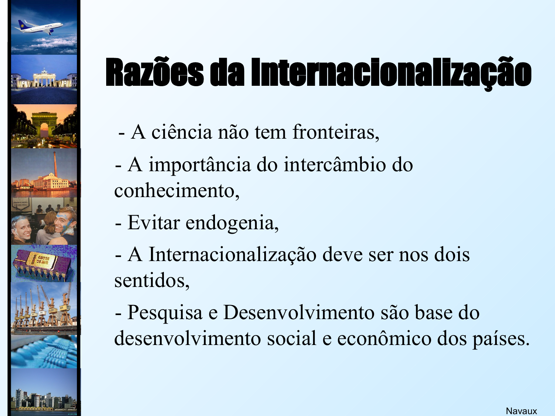

# Razões da Internacionalização

- A ciência não tem fronteiras,
- A importância do intercâmbio do conhecimento,
- Evitar endogenia,
- A Internacionalização deve ser nos dois sentidos,

 - Pesquisa e Desenvolvimento são base do desenvolvimento social e econômico dos países.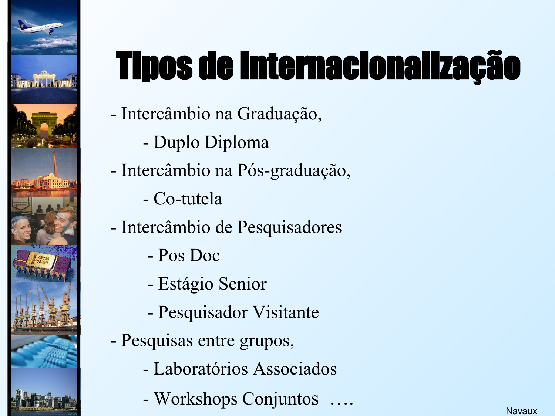

# Tipos de Internacionalização

- Intercâmbio na Graduação,
	- Duplo Diploma
- Intercâmbio na Pós-graduação,
	- Co-tutela
- Intercâmbio de Pesquisadores
	- Pos Doc
	- Estágio Senior
	- Pesquisador Visitante
- Pesquisas entre grupos,
	- Laboratórios Associados
	- Workshops Conjuntos ….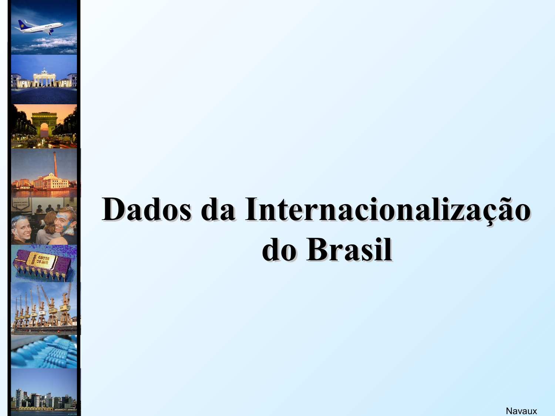# **Dados da Internacionalização do Brasil**

**With Alliana**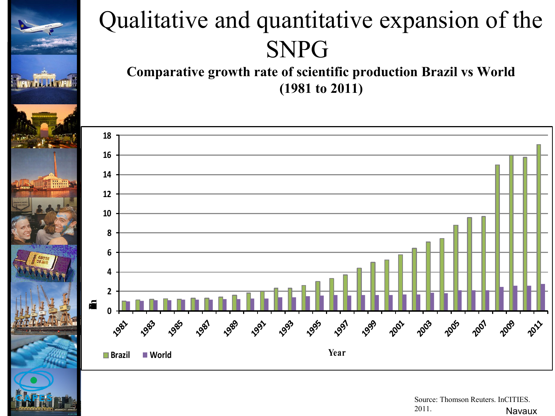

#### Qualitative and quantitative expansion of the SNPG

**Comparative growth rate of scientific production Brazil vs World (1981 to 2011)**



Navaux Source: Thomson Reuters. InCITIES. 2011.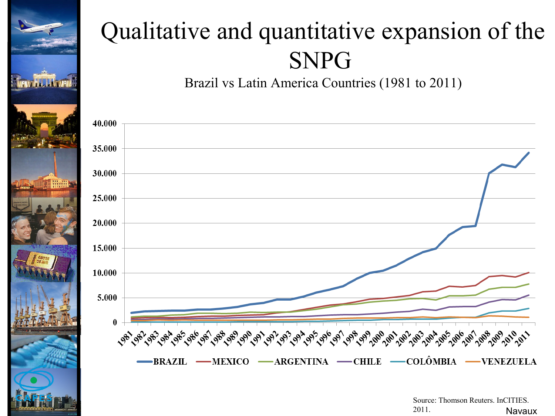

### Qualitative and quantitative expansion of the SNPG

Brazil vs Latin America Countries (1981 to 2011)



Navaux Source: Thomson Reuters. InCITIES. 2011.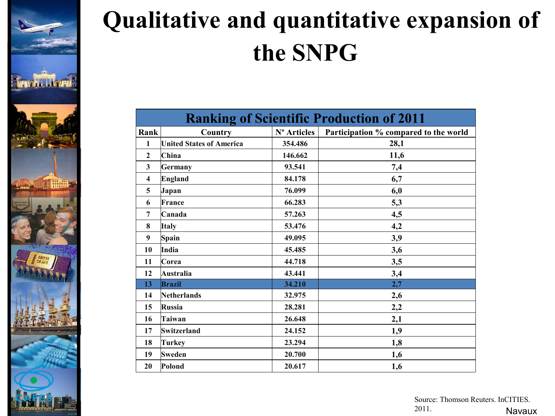

### **Qualitative and quantitative expansion of the SNPG**

| <b>Ranking of Scientific Production of 2011</b> |                                 |             |                                       |  |  |  |  |  |  |  |
|-------------------------------------------------|---------------------------------|-------------|---------------------------------------|--|--|--|--|--|--|--|
| Rank                                            | Country                         | N° Articles | Participation % compared to the world |  |  |  |  |  |  |  |
| $\mathbf{1}$                                    | <b>United States of America</b> | 354.486     | 28,1                                  |  |  |  |  |  |  |  |
| $\overline{2}$                                  | China                           | 146.662     | 11,6                                  |  |  |  |  |  |  |  |
| $\overline{\mathbf{3}}$                         | <b>Germany</b>                  | 93.541      | 7,4                                   |  |  |  |  |  |  |  |
| $\overline{\mathbf{4}}$                         | <b>England</b>                  | 84.178      | 6,7                                   |  |  |  |  |  |  |  |
| 5                                               | Japan                           | 76.099      | 6,0                                   |  |  |  |  |  |  |  |
| 6                                               | France                          | 66.283      | 5,3                                   |  |  |  |  |  |  |  |
| 7                                               | Canada                          | 57.263      | 4,5                                   |  |  |  |  |  |  |  |
| 8                                               | <b>Italy</b>                    | 53.476      | 4,2                                   |  |  |  |  |  |  |  |
| $\boldsymbol{9}$                                | Spain                           | 49.095      | 3,9                                   |  |  |  |  |  |  |  |
| 10                                              | India                           | 45.485      | 3,6                                   |  |  |  |  |  |  |  |
| 11                                              | Corea                           | 44.718      | 3,5                                   |  |  |  |  |  |  |  |
| 12                                              | <b>Australia</b>                | 43.441      | 3,4                                   |  |  |  |  |  |  |  |
| 13                                              | <b>Brazil</b>                   | 34.210      | 2,7                                   |  |  |  |  |  |  |  |
| 14                                              | <b>Netherlands</b>              | 32.975      | 2,6                                   |  |  |  |  |  |  |  |
| 15                                              | <b>Russia</b>                   | 28.281      | 2,2                                   |  |  |  |  |  |  |  |
| 16                                              | Taiwan                          | 26.648      | 2,1                                   |  |  |  |  |  |  |  |
| 17                                              | <b>Switzerland</b>              | 24.152      | 1,9                                   |  |  |  |  |  |  |  |
| 18                                              | <b>Turkey</b>                   | 23.294      | 1,8                                   |  |  |  |  |  |  |  |
| 19                                              | <b>Sweden</b>                   | 20.700      | 1,6                                   |  |  |  |  |  |  |  |
| 20                                              | Polond                          | 20.617      | 1,6                                   |  |  |  |  |  |  |  |

#### Navaux Source: Thomson Reuters. InCITIES. 2011.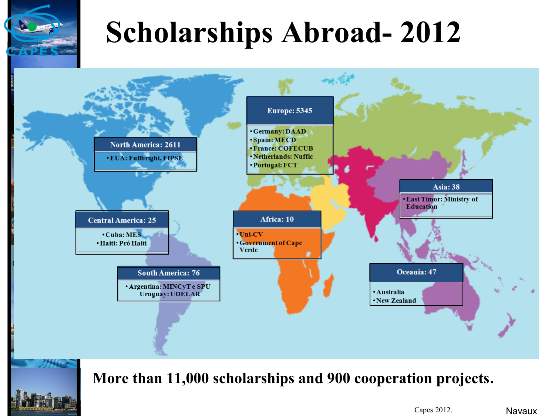## **Scholarships Abroad- 2012**



#### **More than 11,000 scholarships and 900 cooperation projects.**

Capes 2012.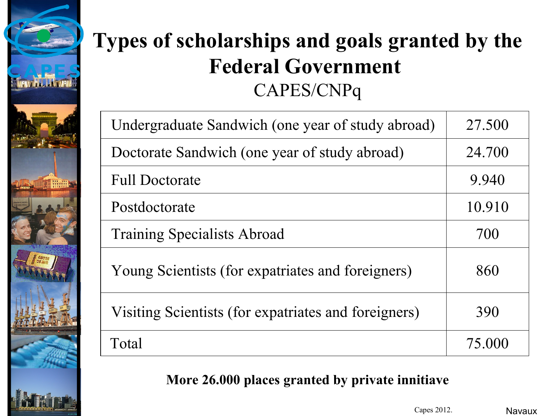

#### **Types of scholarships and goals granted by the Federal Government**  CAPES/CNPq

| Undergraduate Sandwich (one year of study abroad)    | 27.500 |
|------------------------------------------------------|--------|
| Doctorate Sandwich (one year of study abroad)        | 24.700 |
| <b>Full Doctorate</b>                                | 9.940  |
| Postdoctorate                                        | 10.910 |
| <b>Training Specialists Abroad</b>                   | 700    |
| Young Scientists (for expatriates and foreigners)    | 860    |
| Visiting Scientists (for expatriates and foreigners) | 390    |
| Total                                                | 75.000 |

#### **More 26.000 places granted by private innitiave**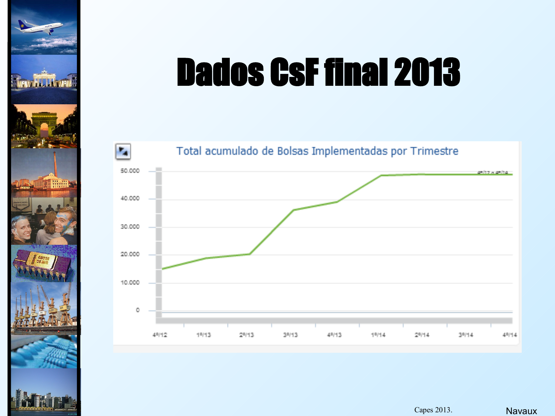

# Dados CsF final 2013



Capes 2013.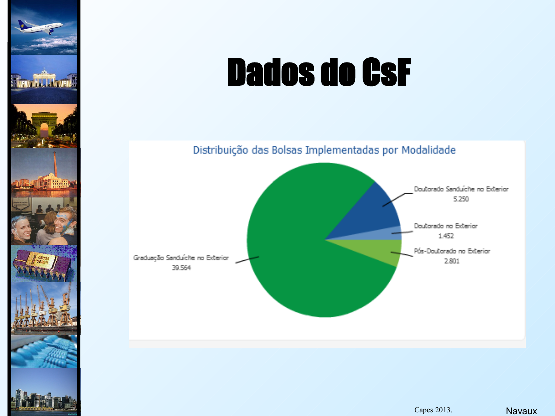

# Dados do CsF



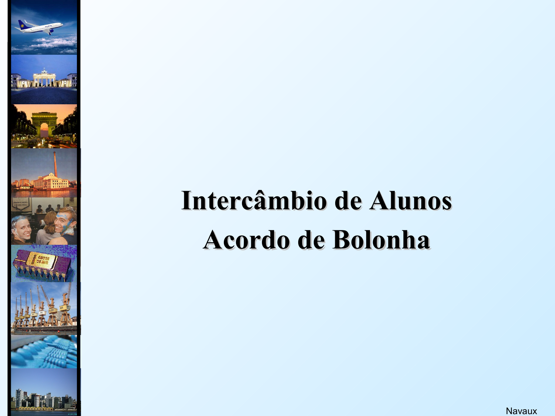

## **Intercâmbio de Alunos Acordo de Bolonha**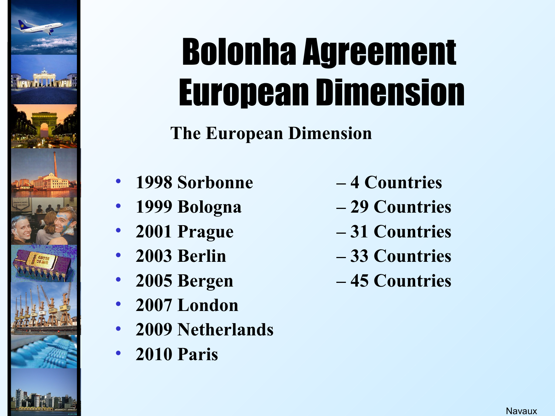

# Bolonha Agreement European Dimension

**The European Dimension** 

- **1998 Sorbonne 4 Countries**
- 
- 
- 
- 
- **2007 London**
- **2009 Netherlands**
- **2010 Paris**
- 
- **1999 Bologna 29 Countries**
- **2001 Prague 31 Countries**
- **2003 Berlin – 33 Countries**
- **2005 Bergen 45 Countries**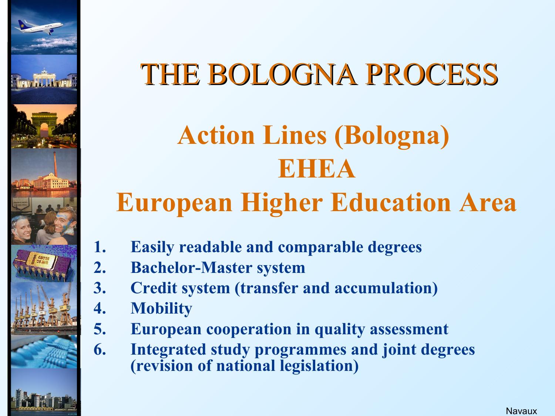

### THE BOLOGNA PROCESS

# **Action Lines (Bologna) EHEA**

### **European Higher Education Area**

- **1. Easily readable and comparable degrees**
- **2. Bachelor-Master system**
- **3. Credit system (transfer and accumulation)**
- **4. Mobility**
- **5. European cooperation in quality assessment**
- **6. Integrated study programmes and joint degrees (revision of national legislation)**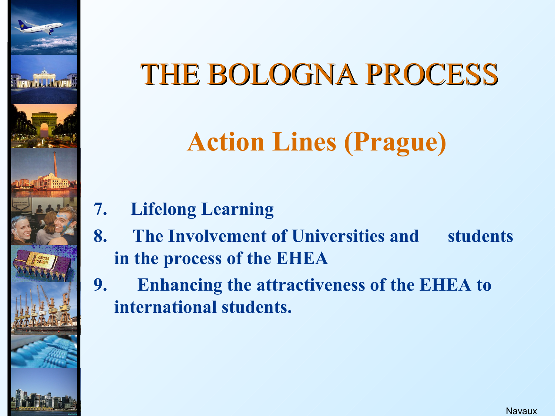## THE BOLOGNA PROCESS

### **Action Lines (Prague)**

- **7. Lifelong Learning**
- **8. The Involvement of Universities and students in the process of the EHEA**
- **9. Enhancing the attractiveness of the EHEA to international students.**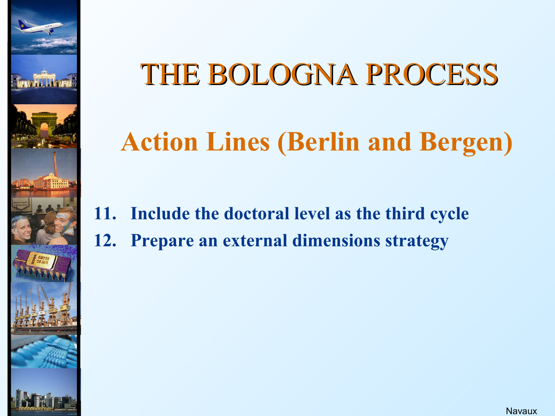

### THE BOLOGNA PROCESS

### **Action Lines (Berlin and Bergen)**

- **11. Include the doctoral level as the third cycle**
- **12. Prepare an external dimensions strategy**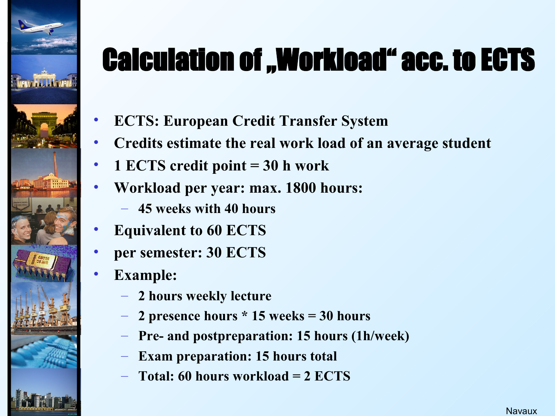

## **Calculation of "Workload" acc. to ECTS**

- **ECTS: European Credit Transfer System**
- **Credits estimate the real work load of an average student**
- **1 ECTS credit point = 30 h work**
- **Workload per year: max. 1800 hours:**
	- **45 weeks with 40 hours**
- **Equivalent to 60 ECTS**
- **per semester: 30 ECTS**
- **Example:**
	- **2 hours weekly lecture**
	- **2 presence hours \* 15 weeks = 30 hours**
	- **Pre- and postpreparation: 15 hours (1h/week)**
	- **Exam preparation: 15 hours total**
	- **Total: 60 hours workload = 2 ECTS**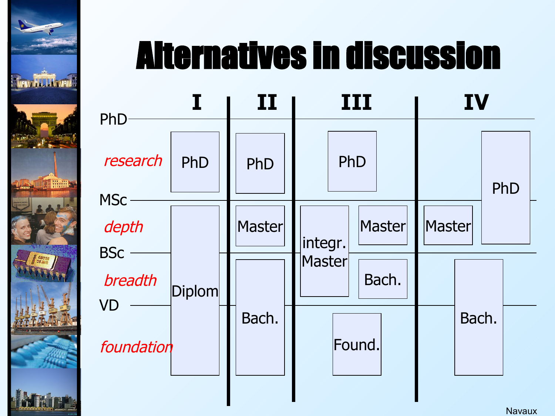

## Alternatives in discussion

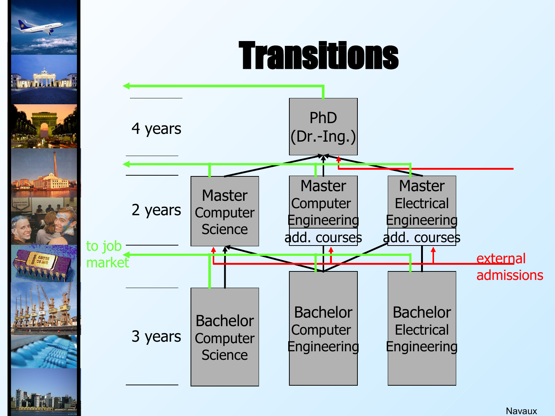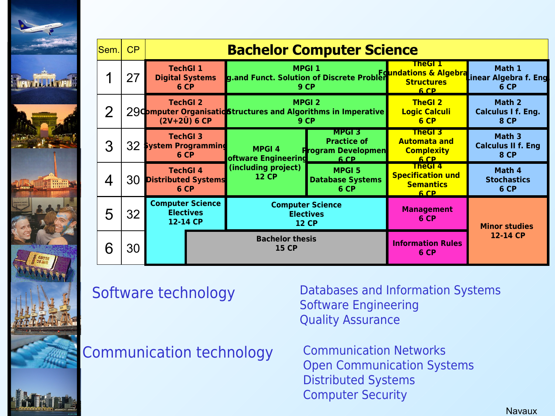|               | Sem.                                                                                                                | CP | <b>Bachelor Computer Science</b>                        |                                                                                         |                                                                                          |                                                                       |                                                    |  |  |  |
|---------------|---------------------------------------------------------------------------------------------------------------------|----|---------------------------------------------------------|-----------------------------------------------------------------------------------------|------------------------------------------------------------------------------------------|-----------------------------------------------------------------------|----------------------------------------------------|--|--|--|
|               |                                                                                                                     | 27 | <b>TechGI 1</b><br><b>Digital Systems</b><br>6 CP       |                                                                                         | <b>MPGI 1</b><br>g.and Funct. Solution of Discrete Problem Foundations & Algebra<br>9 CP | TheGl I<br>6 CP                                                       | Math 1<br>inear Algebra f. Eng<br>6 CP             |  |  |  |
|               | $\overline{2}$                                                                                                      |    | <b>TechGI 2</b><br>$(2V+2Ü) 6 CP$                       | <b>MPGI 2</b><br>29Computer Organisatic Structures and Algorithms in Imperative<br>9 CP |                                                                                          | <b>TheGI 2</b><br><b>Logic Calculi</b><br>6 CP                        | Math 2<br>Calculus I f. Eng.<br><b>8 CP</b>        |  |  |  |
|               | 3                                                                                                                   | 32 | <b>TechGI 3</b><br>System Programming<br>6 CP           | <b>MPGI4</b><br>oftware Engineering                                                     | MPGI 3<br><b>Practice of</b><br><b>Program Developmen</b><br>6 CP                        | <b>TheGI3</b><br><b>Automata and</b><br><b>Complexity</b><br>6 CP     | Math 3<br><b>Calculus II f. Eng</b><br><b>8 CP</b> |  |  |  |
| <b>MENGEN</b> | 4                                                                                                                   | 30 | <b>TechGI4</b><br><b>Distributed Systems</b><br>6 CP    | (including project)<br><b>12 CP</b>                                                     | <b>MPGI 5</b><br><b>Database Systems</b><br>6 CP                                         | <b>TheGI4</b><br><b>Specification und</b><br><b>Semantics</b><br>6 CP | Math 4<br><b>Stochastics</b><br>6 CP               |  |  |  |
|               | 5                                                                                                                   | 32 | <b>Computer Science</b><br><b>Electives</b><br>12-14 CP | <b>Computer Science</b><br><b>Electives</b><br><b>12 CP</b>                             |                                                                                          | <b>Management</b><br>6 CP                                             | <b>Minor studies</b>                               |  |  |  |
|               | 6                                                                                                                   | 30 |                                                         | <b>Bachelor thesis</b><br><b>15 CP</b>                                                  |                                                                                          | <b>Information Rules</b><br>6 CP                                      | 12-14 CP                                           |  |  |  |
|               | Databases and Information Systems<br>Software technology<br><b>Software Engineering</b><br><b>Quality Assurance</b> |    |                                                         |                                                                                         |                                                                                          |                                                                       |                                                    |  |  |  |

Communication technology Communication Networks

Open Communication Systems Distributed Systems Computer Security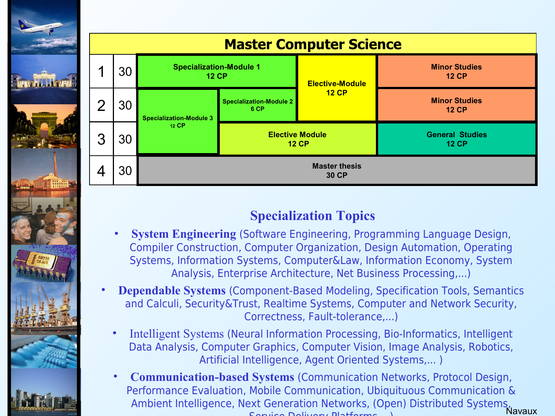

#### **Specialization Topics**

- **System Engineering** (Software Engineering, Programming Language Design, Compiler Construction, Computer Organization, Design Automation, Operating Systems, Information Systems, Computer&Law, Information Economy, System Analysis, Enterprise Architecture, Net Business Processing,...)
- **Dependable Systems** (Component-Based Modeling, Specification Tools, Semantics and Calculi, Security&Trust, Realtime Systems, Computer and Network Security, Correctness, Fault-tolerance,...)
	- Intelligent Systems (Neural Information Processing, Bio-Informatics, Intelligent Data Analysis, Computer Graphics, Computer Vision, Image Analysis, Robotics, Artificial Intelligence, Agent Oriented Systems,... )
	- Navaux • **Communication-based Systems** (Communication Networks, Protocol Design, Performance Evaluation, Mobile Communication, Ubiquituous Communication & Ambient Intelligence, Next Generation Networks, (Open) Distributed Systems, Service Delivery Platforms,...)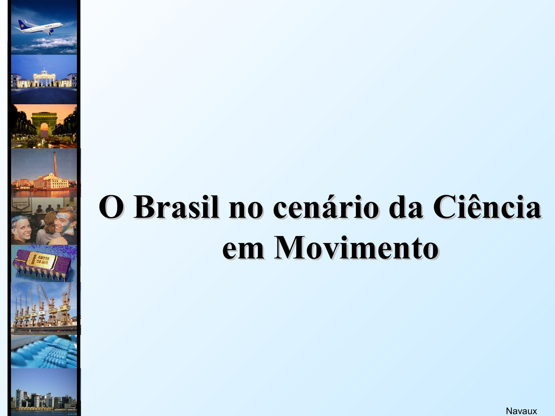# **O Brasil no cenário da Ciência em Movimento**

**MARALLA MARA**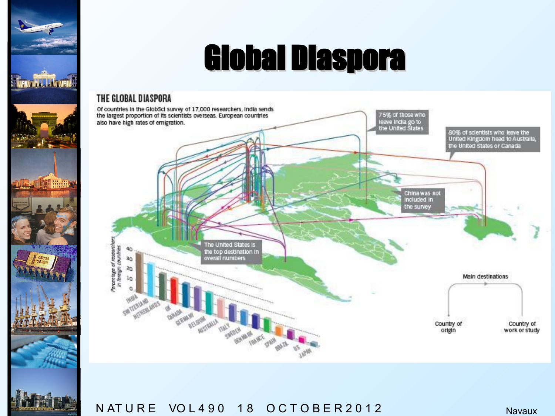## Global Diaspora

#### THE GLOBAL DIASPORA

en Galillandi

**TALE** 



N AT U R E VO L 4 9 0 1 8 O C T O B E R 2 0 1 2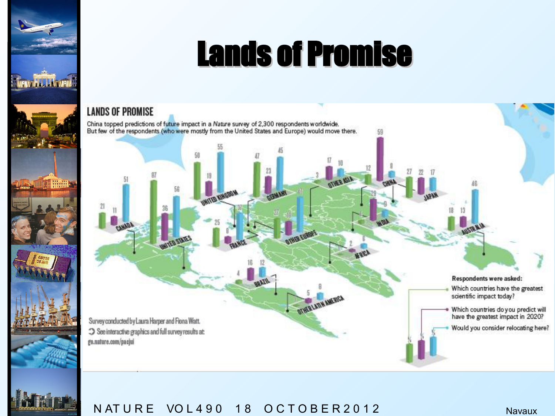## Lands of Promise

#### **LANDS OF PROMISE**

**MILLITANIA** 

**MOTHERN** 

China topped predictions of future impact in a Nature survey of 2,300 respondents worldwide.<br>But few of the respondents (who were mostly from the United States and Europe) would move there.

**EART RETTAIN** 

Survey conducted by Laura Harper and Fiona Watt. See interactive graphics and full survey results at: go.nature.com/pacjui

Respondents were asked: Which countries have the greatest scientific impact today? Which countries do you predict will<br>have the greatest impact in 2020? Would you consider relocating here?

13

 $22$ 

N AT U R E VO L 4 9 0 1 8 O C T O B E R 2 0 1 2